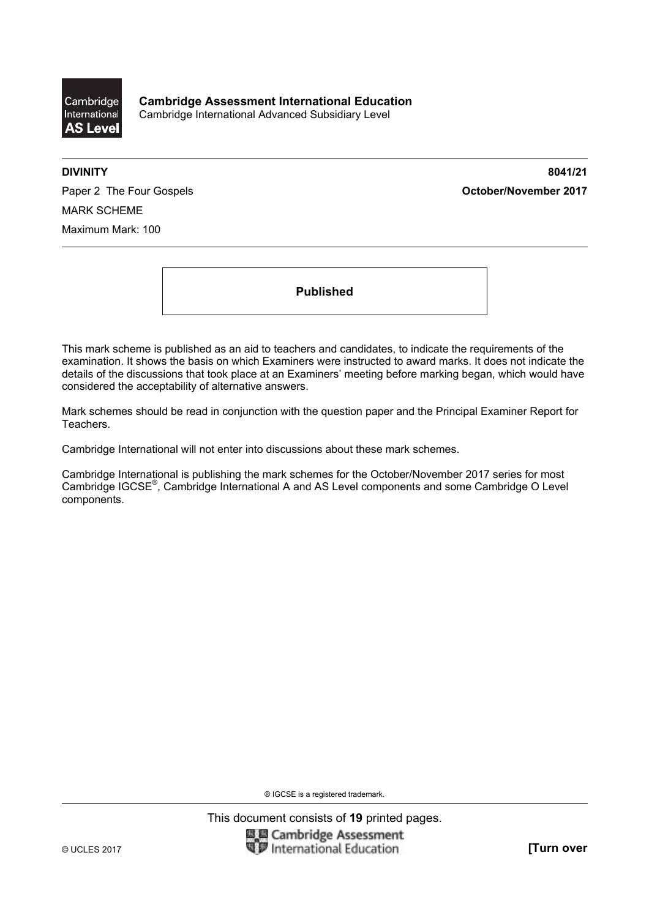

**DIVINITY 8041/21** 

Paper 2 The Four Gospels **Contact Act Contact Act Contact Act October/November 2017** MARK SCHEME Maximum Mark: 100

**Published** 

This mark scheme is published as an aid to teachers and candidates, to indicate the requirements of the examination. It shows the basis on which Examiners were instructed to award marks. It does not indicate the details of the discussions that took place at an Examiners' meeting before marking began, which would have considered the acceptability of alternative answers.

Mark schemes should be read in conjunction with the question paper and the Principal Examiner Report for Teachers.

Cambridge International will not enter into discussions about these mark schemes.

Cambridge International is publishing the mark schemes for the October/November 2017 series for most Cambridge IGCSE®, Cambridge International A and AS Level components and some Cambridge O Level components.

® IGCSE is a registered trademark.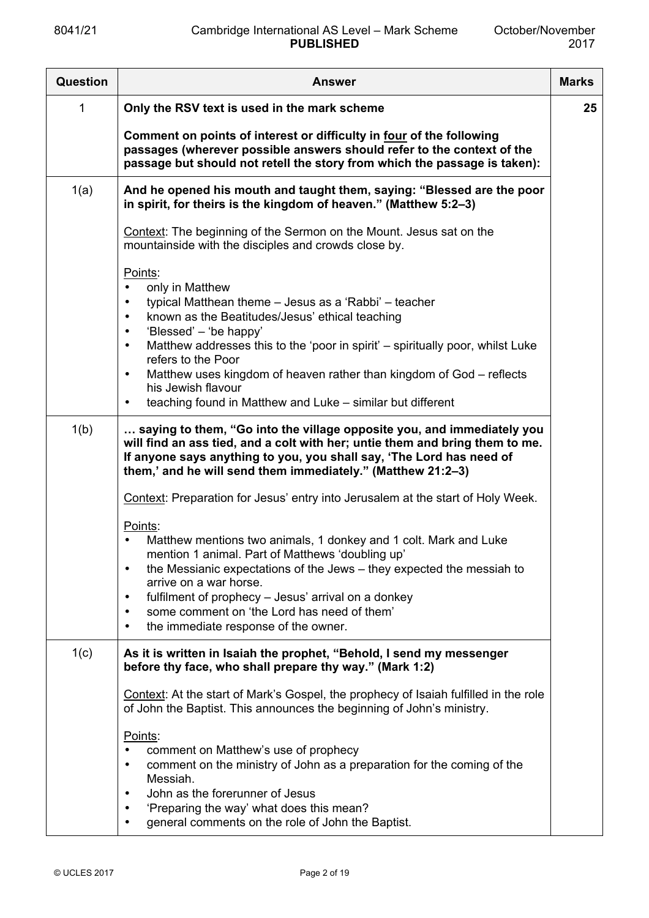| Question | <b>Answer</b>                                                                                                                                                                                                                                                                                                                                                                                                                                                                                                      | <b>Marks</b> |
|----------|--------------------------------------------------------------------------------------------------------------------------------------------------------------------------------------------------------------------------------------------------------------------------------------------------------------------------------------------------------------------------------------------------------------------------------------------------------------------------------------------------------------------|--------------|
| 1        | Only the RSV text is used in the mark scheme                                                                                                                                                                                                                                                                                                                                                                                                                                                                       | 25           |
|          | Comment on points of interest or difficulty in four of the following<br>passages (wherever possible answers should refer to the context of the<br>passage but should not retell the story from which the passage is taken):                                                                                                                                                                                                                                                                                        |              |
| 1(a)     | And he opened his mouth and taught them, saying: "Blessed are the poor<br>in spirit, for theirs is the kingdom of heaven." (Matthew 5:2-3)                                                                                                                                                                                                                                                                                                                                                                         |              |
|          | Context: The beginning of the Sermon on the Mount. Jesus sat on the<br>mountainside with the disciples and crowds close by.                                                                                                                                                                                                                                                                                                                                                                                        |              |
|          | Points:<br>only in Matthew<br>typical Matthean theme – Jesus as a 'Rabbi' – teacher<br>$\bullet$<br>known as the Beatitudes/Jesus' ethical teaching<br>$\bullet$<br>'Blessed' - 'be happy'<br>$\bullet$<br>Matthew addresses this to the 'poor in spirit' – spiritually poor, whilst Luke<br>$\bullet$<br>refers to the Poor<br>Matthew uses kingdom of heaven rather than kingdom of God – reflects<br>$\bullet$<br>his Jewish flavour<br>teaching found in Matthew and Luke – similar but different<br>$\bullet$ |              |
| 1(b)     | saying to them, "Go into the village opposite you, and immediately you<br>will find an ass tied, and a colt with her; untie them and bring them to me.<br>If anyone says anything to you, you shall say, 'The Lord has need of<br>them,' and he will send them immediately." (Matthew 21:2-3)                                                                                                                                                                                                                      |              |
|          | Context: Preparation for Jesus' entry into Jerusalem at the start of Holy Week.                                                                                                                                                                                                                                                                                                                                                                                                                                    |              |
|          | Points:<br>Matthew mentions two animals, 1 donkey and 1 colt. Mark and Luke<br>mention 1 animal. Part of Matthews 'doubling up'<br>the Messianic expectations of the Jews – they expected the messiah to<br>$\bullet$<br>arrive on a war horse.<br>fulfilment of prophecy - Jesus' arrival on a donkey<br>$\bullet$<br>some comment on 'the Lord has need of them'<br>$\bullet$<br>the immediate response of the owner.<br>$\bullet$                                                                               |              |
| 1(c)     | As it is written in Isaiah the prophet, "Behold, I send my messenger<br>before thy face, who shall prepare thy way." (Mark 1:2)                                                                                                                                                                                                                                                                                                                                                                                    |              |
|          | Context: At the start of Mark's Gospel, the prophecy of Isaiah fulfilled in the role<br>of John the Baptist. This announces the beginning of John's ministry.                                                                                                                                                                                                                                                                                                                                                      |              |
|          | Points:<br>comment on Matthew's use of prophecy<br>$\bullet$<br>comment on the ministry of John as a preparation for the coming of the<br>٠<br>Messiah.<br>John as the forerunner of Jesus<br>$\bullet$<br>'Preparing the way' what does this mean?<br>٠<br>general comments on the role of John the Baptist.                                                                                                                                                                                                      |              |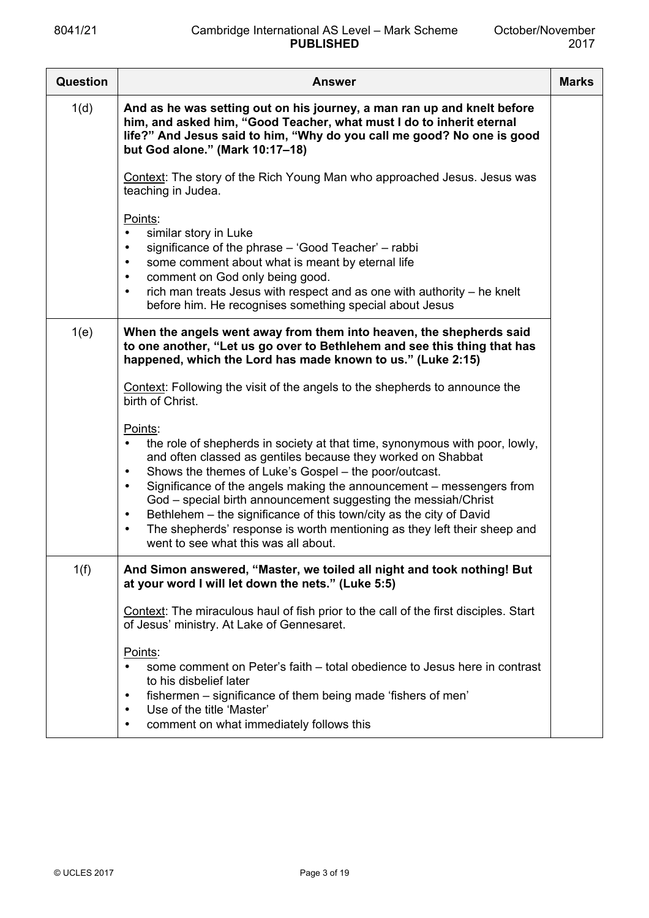| Question | <b>Answer</b>                                                                                                                                                                                                                                                                                                                                                                                                                                                                                                                                                                                                         | <b>Marks</b> |
|----------|-----------------------------------------------------------------------------------------------------------------------------------------------------------------------------------------------------------------------------------------------------------------------------------------------------------------------------------------------------------------------------------------------------------------------------------------------------------------------------------------------------------------------------------------------------------------------------------------------------------------------|--------------|
| 1(d)     | And as he was setting out on his journey, a man ran up and knelt before<br>him, and asked him, "Good Teacher, what must I do to inherit eternal<br>life?" And Jesus said to him, "Why do you call me good? No one is good<br>but God alone." (Mark 10:17-18)                                                                                                                                                                                                                                                                                                                                                          |              |
|          | Context: The story of the Rich Young Man who approached Jesus. Jesus was<br>teaching in Judea.                                                                                                                                                                                                                                                                                                                                                                                                                                                                                                                        |              |
|          | Points:<br>similar story in Luke<br>$\bullet$<br>significance of the phrase – 'Good Teacher' – rabbi<br>$\bullet$<br>some comment about what is meant by eternal life<br>$\bullet$<br>comment on God only being good.<br>$\bullet$<br>rich man treats Jesus with respect and as one with authority - he knelt<br>$\bullet$<br>before him. He recognises something special about Jesus                                                                                                                                                                                                                                 |              |
| 1(e)     | When the angels went away from them into heaven, the shepherds said<br>to one another, "Let us go over to Bethlehem and see this thing that has<br>happened, which the Lord has made known to us." (Luke 2:15)                                                                                                                                                                                                                                                                                                                                                                                                        |              |
|          | Context: Following the visit of the angels to the shepherds to announce the<br>birth of Christ.                                                                                                                                                                                                                                                                                                                                                                                                                                                                                                                       |              |
|          | Points:<br>the role of shepherds in society at that time, synonymous with poor, lowly,<br>$\bullet$<br>and often classed as gentiles because they worked on Shabbat<br>Shows the themes of Luke's Gospel - the poor/outcast.<br>$\bullet$<br>Significance of the angels making the announcement - messengers from<br>$\bullet$<br>God - special birth announcement suggesting the messiah/Christ<br>Bethlehem - the significance of this town/city as the city of David<br>$\bullet$<br>The shepherds' response is worth mentioning as they left their sheep and<br>$\bullet$<br>went to see what this was all about. |              |
| 1(f)     | And Simon answered, "Master, we toiled all night and took nothing! But<br>at your word I will let down the nets." (Luke 5:5)                                                                                                                                                                                                                                                                                                                                                                                                                                                                                          |              |
|          | Context: The miraculous haul of fish prior to the call of the first disciples. Start<br>of Jesus' ministry. At Lake of Gennesaret.                                                                                                                                                                                                                                                                                                                                                                                                                                                                                    |              |
|          | Points:<br>some comment on Peter's faith – total obedience to Jesus here in contrast<br>$\bullet$<br>to his disbelief later<br>fishermen – significance of them being made 'fishers of men'<br>Use of the title 'Master'<br>$\bullet$<br>comment on what immediately follows this<br>$\bullet$                                                                                                                                                                                                                                                                                                                        |              |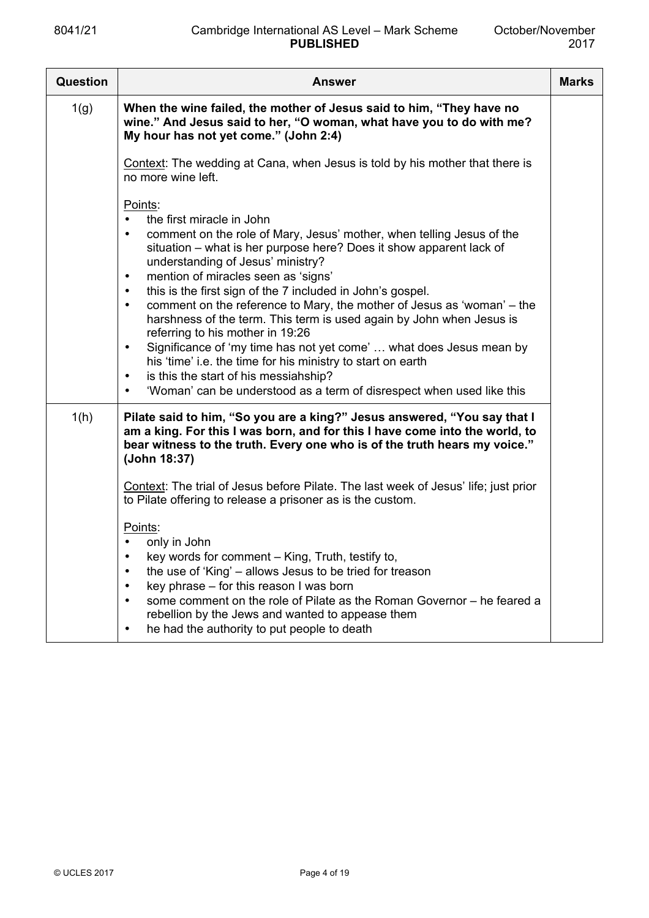| <b>Question</b> | <b>Answer</b>                                                                                                                                                                                                                                                                                                                                                                                                                                                                                                                                                                                                                                                                                                                                                                                                                                                           | <b>Marks</b> |
|-----------------|-------------------------------------------------------------------------------------------------------------------------------------------------------------------------------------------------------------------------------------------------------------------------------------------------------------------------------------------------------------------------------------------------------------------------------------------------------------------------------------------------------------------------------------------------------------------------------------------------------------------------------------------------------------------------------------------------------------------------------------------------------------------------------------------------------------------------------------------------------------------------|--------------|
| 1(g)            | When the wine failed, the mother of Jesus said to him, "They have no<br>wine." And Jesus said to her, "O woman, what have you to do with me?<br>My hour has not yet come." (John 2:4)                                                                                                                                                                                                                                                                                                                                                                                                                                                                                                                                                                                                                                                                                   |              |
|                 | Context: The wedding at Cana, when Jesus is told by his mother that there is<br>no more wine left.                                                                                                                                                                                                                                                                                                                                                                                                                                                                                                                                                                                                                                                                                                                                                                      |              |
|                 | Points:<br>the first miracle in John<br>$\bullet$<br>comment on the role of Mary, Jesus' mother, when telling Jesus of the<br>$\bullet$<br>situation – what is her purpose here? Does it show apparent lack of<br>understanding of Jesus' ministry?<br>mention of miracles seen as 'signs'<br>$\bullet$<br>this is the first sign of the 7 included in John's gospel.<br>$\bullet$<br>comment on the reference to Mary, the mother of Jesus as 'woman' – the<br>$\bullet$<br>harshness of the term. This term is used again by John when Jesus is<br>referring to his mother in 19:26<br>Significance of 'my time has not yet come'  what does Jesus mean by<br>$\bullet$<br>his 'time' i.e. the time for his ministry to start on earth<br>is this the start of his messiahship?<br>$\bullet$<br>'Woman' can be understood as a term of disrespect when used like this |              |
| 1(h)            | Pilate said to him, "So you are a king?" Jesus answered, "You say that I<br>am a king. For this I was born, and for this I have come into the world, to<br>bear witness to the truth. Every one who is of the truth hears my voice."<br>(John 18:37)                                                                                                                                                                                                                                                                                                                                                                                                                                                                                                                                                                                                                    |              |
|                 | Context: The trial of Jesus before Pilate. The last week of Jesus' life; just prior<br>to Pilate offering to release a prisoner as is the custom.                                                                                                                                                                                                                                                                                                                                                                                                                                                                                                                                                                                                                                                                                                                       |              |
|                 | Points:<br>only in John<br>key words for comment - King, Truth, testify to,<br>the use of 'King' – allows Jesus to be tried for treason<br>key phrase - for this reason I was born<br>some comment on the role of Pilate as the Roman Governor - he feared a<br>rebellion by the Jews and wanted to appease them<br>he had the authority to put people to death<br>$\bullet$                                                                                                                                                                                                                                                                                                                                                                                                                                                                                            |              |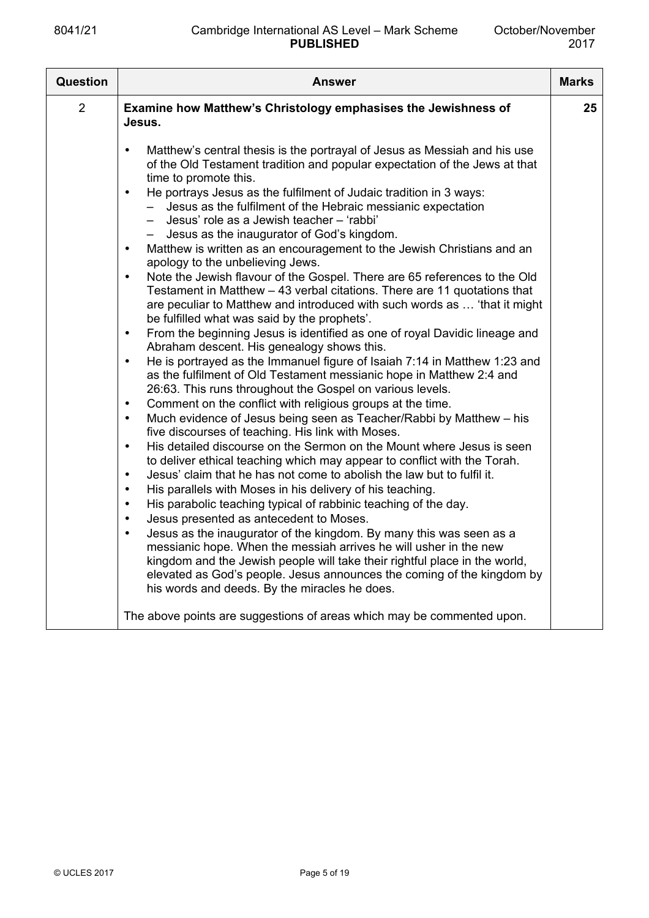| Question       | Answer                                                                                                                                                                                                                                                                                                                                                                                                                                                                                                                                                                                                                                                                                                                                                                                                                                                                                                                                                                                                                                                                                                                                                                                                                                                                                                                                                                                                                                                                                                                                                                                                                                                                                                                                                                                                                                                                                                                                                                                                                                                                                                                                                                                                                                                                                                                                                                                               | <b>Marks</b> |
|----------------|------------------------------------------------------------------------------------------------------------------------------------------------------------------------------------------------------------------------------------------------------------------------------------------------------------------------------------------------------------------------------------------------------------------------------------------------------------------------------------------------------------------------------------------------------------------------------------------------------------------------------------------------------------------------------------------------------------------------------------------------------------------------------------------------------------------------------------------------------------------------------------------------------------------------------------------------------------------------------------------------------------------------------------------------------------------------------------------------------------------------------------------------------------------------------------------------------------------------------------------------------------------------------------------------------------------------------------------------------------------------------------------------------------------------------------------------------------------------------------------------------------------------------------------------------------------------------------------------------------------------------------------------------------------------------------------------------------------------------------------------------------------------------------------------------------------------------------------------------------------------------------------------------------------------------------------------------------------------------------------------------------------------------------------------------------------------------------------------------------------------------------------------------------------------------------------------------------------------------------------------------------------------------------------------------------------------------------------------------------------------------------------------------|--------------|
| $\overline{2}$ | Examine how Matthew's Christology emphasises the Jewishness of<br>Jesus.                                                                                                                                                                                                                                                                                                                                                                                                                                                                                                                                                                                                                                                                                                                                                                                                                                                                                                                                                                                                                                                                                                                                                                                                                                                                                                                                                                                                                                                                                                                                                                                                                                                                                                                                                                                                                                                                                                                                                                                                                                                                                                                                                                                                                                                                                                                             | 25           |
|                | Matthew's central thesis is the portrayal of Jesus as Messiah and his use<br>of the Old Testament tradition and popular expectation of the Jews at that<br>time to promote this.<br>He portrays Jesus as the fulfilment of Judaic tradition in 3 ways:<br>$\bullet$<br>Jesus as the fulfilment of the Hebraic messianic expectation<br>$-$<br>Jesus' role as a Jewish teacher - 'rabbi'<br>$-$<br>Jesus as the inaugurator of God's kingdom.<br>$-$<br>Matthew is written as an encouragement to the Jewish Christians and an<br>$\bullet$<br>apology to the unbelieving Jews.<br>Note the Jewish flavour of the Gospel. There are 65 references to the Old<br>$\bullet$<br>Testament in Matthew - 43 verbal citations. There are 11 quotations that<br>are peculiar to Matthew and introduced with such words as  'that it might<br>be fulfilled what was said by the prophets'.<br>From the beginning Jesus is identified as one of royal Davidic lineage and<br>$\bullet$<br>Abraham descent. His genealogy shows this.<br>He is portrayed as the Immanuel figure of Isaiah 7:14 in Matthew 1:23 and<br>$\bullet$<br>as the fulfilment of Old Testament messianic hope in Matthew 2:4 and<br>26:63. This runs throughout the Gospel on various levels.<br>Comment on the conflict with religious groups at the time.<br>$\bullet$<br>Much evidence of Jesus being seen as Teacher/Rabbi by Matthew - his<br>$\bullet$<br>five discourses of teaching. His link with Moses.<br>His detailed discourse on the Sermon on the Mount where Jesus is seen<br>$\bullet$<br>to deliver ethical teaching which may appear to conflict with the Torah.<br>Jesus' claim that he has not come to abolish the law but to fulfil it.<br>$\bullet$<br>His parallels with Moses in his delivery of his teaching.<br>$\bullet$<br>His parabolic teaching typical of rabbinic teaching of the day.<br>$\bullet$<br>Jesus presented as antecedent to Moses.<br>$\bullet$<br>Jesus as the inaugurator of the kingdom. By many this was seen as a<br>$\bullet$<br>messianic hope. When the messiah arrives he will usher in the new<br>kingdom and the Jewish people will take their rightful place in the world,<br>elevated as God's people. Jesus announces the coming of the kingdom by<br>his words and deeds. By the miracles he does.<br>The above points are suggestions of areas which may be commented upon. |              |
|                |                                                                                                                                                                                                                                                                                                                                                                                                                                                                                                                                                                                                                                                                                                                                                                                                                                                                                                                                                                                                                                                                                                                                                                                                                                                                                                                                                                                                                                                                                                                                                                                                                                                                                                                                                                                                                                                                                                                                                                                                                                                                                                                                                                                                                                                                                                                                                                                                      |              |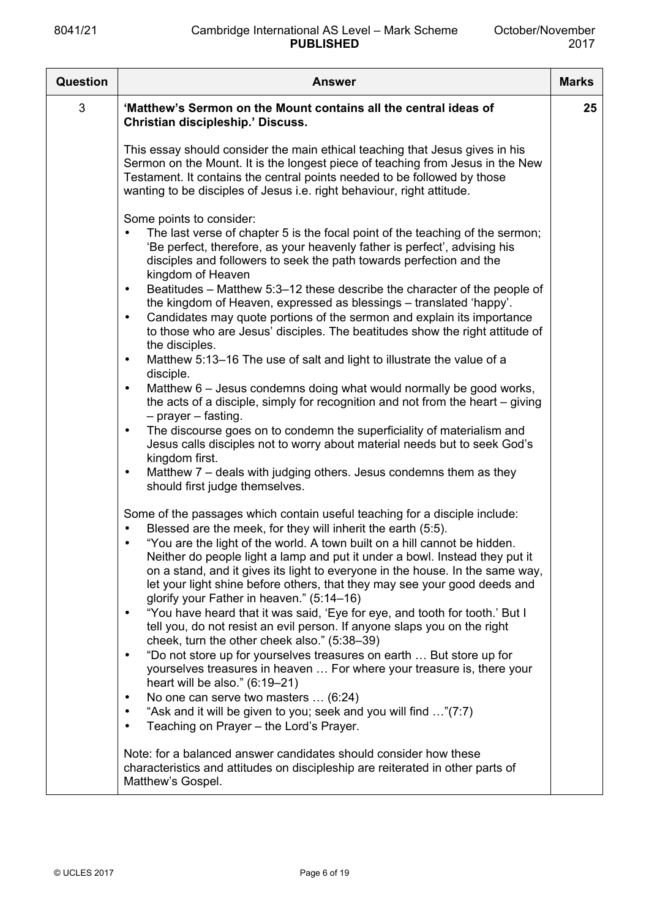| Question | <b>Answer</b>                                                                                                                                                                                                                                                                                                                                                       | <b>Marks</b> |
|----------|---------------------------------------------------------------------------------------------------------------------------------------------------------------------------------------------------------------------------------------------------------------------------------------------------------------------------------------------------------------------|--------------|
| 3        | 'Matthew's Sermon on the Mount contains all the central ideas of<br>Christian discipleship.' Discuss.                                                                                                                                                                                                                                                               | 25           |
|          | This essay should consider the main ethical teaching that Jesus gives in his<br>Sermon on the Mount. It is the longest piece of teaching from Jesus in the New<br>Testament. It contains the central points needed to be followed by those<br>wanting to be disciples of Jesus i.e. right behaviour, right attitude.                                                |              |
|          | Some points to consider:<br>The last verse of chapter 5 is the focal point of the teaching of the sermon;<br>'Be perfect, therefore, as your heavenly father is perfect', advising his<br>disciples and followers to seek the path towards perfection and the<br>kingdom of Heaven                                                                                  |              |
|          | Beatitudes – Matthew 5:3–12 these describe the character of the people of<br>$\bullet$<br>the kingdom of Heaven, expressed as blessings - translated 'happy'.<br>Candidates may quote portions of the sermon and explain its importance<br>$\bullet$<br>to those who are Jesus' disciples. The beatitudes show the right attitude of<br>the disciples.              |              |
|          | Matthew 5:13-16 The use of salt and light to illustrate the value of a<br>$\bullet$<br>disciple.                                                                                                                                                                                                                                                                    |              |
|          | Matthew 6 – Jesus condemns doing what would normally be good works,<br>$\bullet$<br>the acts of a disciple, simply for recognition and not from the heart $-$ giving<br>$-$ prayer $-$ fasting.                                                                                                                                                                     |              |
|          | The discourse goes on to condemn the superficiality of materialism and<br>$\bullet$<br>Jesus calls disciples not to worry about material needs but to seek God's<br>kingdom first.                                                                                                                                                                                  |              |
|          | Matthew 7 – deals with judging others. Jesus condemns them as they<br>$\bullet$<br>should first judge themselves.                                                                                                                                                                                                                                                   |              |
|          | Some of the passages which contain useful teaching for a disciple include:<br>Blessed are the meek, for they will inherit the earth (5:5).<br>$\bullet$                                                                                                                                                                                                             |              |
|          | "You are the light of the world. A town built on a hill cannot be hidden.<br>Neither do people light a lamp and put it under a bowl. Instead they put it<br>on a stand, and it gives its light to everyone in the house. In the same way,<br>let your light shine before others, that they may see your good deeds and<br>glorify your Father in heaven." (5:14-16) |              |
|          | "You have heard that it was said, 'Eye for eye, and tooth for tooth.' But I<br>$\bullet$<br>tell you, do not resist an evil person. If anyone slaps you on the right<br>cheek, turn the other cheek also." (5:38-39)                                                                                                                                                |              |
|          | "Do not store up for yourselves treasures on earth  But store up for<br>$\bullet$<br>yourselves treasures in heaven  For where your treasure is, there your<br>heart will be also." $(6:19-21)$                                                                                                                                                                     |              |
|          | No one can serve two masters  (6:24)<br>$\bullet$<br>"Ask and it will be given to you; seek and you will find "(7:7)<br>Teaching on Prayer - the Lord's Prayer.                                                                                                                                                                                                     |              |
|          | Note: for a balanced answer candidates should consider how these<br>characteristics and attitudes on discipleship are reiterated in other parts of<br>Matthew's Gospel.                                                                                                                                                                                             |              |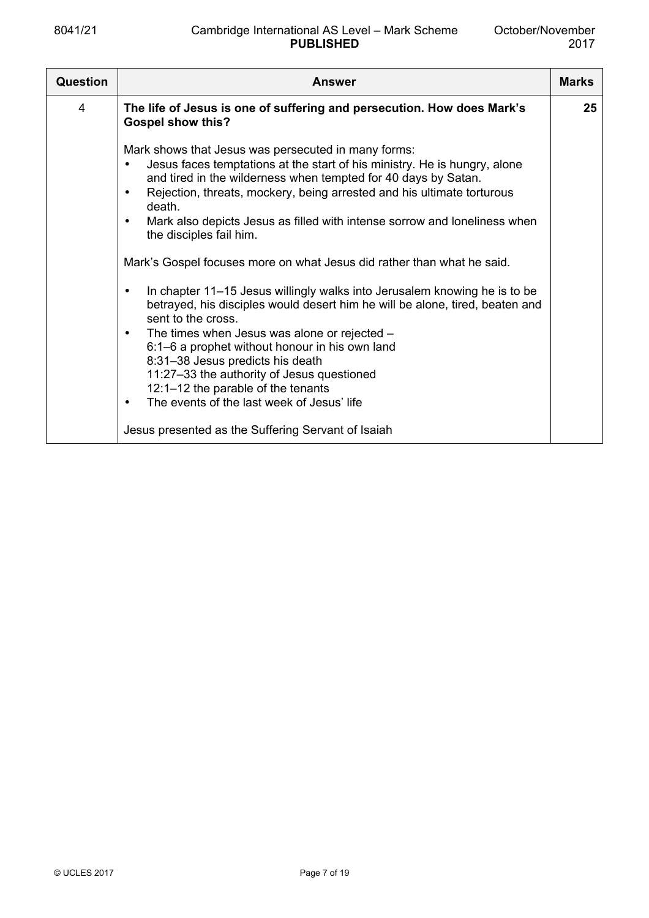| Question       | <b>Answer</b>                                                                                                                                                                                                                                                                                                                                                                                                                                                                                                                                                                                                                                                                                                                                                                                                                                                                                                                                                              | <b>Marks</b> |
|----------------|----------------------------------------------------------------------------------------------------------------------------------------------------------------------------------------------------------------------------------------------------------------------------------------------------------------------------------------------------------------------------------------------------------------------------------------------------------------------------------------------------------------------------------------------------------------------------------------------------------------------------------------------------------------------------------------------------------------------------------------------------------------------------------------------------------------------------------------------------------------------------------------------------------------------------------------------------------------------------|--------------|
| $\overline{4}$ | The life of Jesus is one of suffering and persecution. How does Mark's<br><b>Gospel show this?</b>                                                                                                                                                                                                                                                                                                                                                                                                                                                                                                                                                                                                                                                                                                                                                                                                                                                                         | 25           |
|                | Mark shows that Jesus was persecuted in many forms:<br>Jesus faces temptations at the start of his ministry. He is hungry, alone<br>and tired in the wilderness when tempted for 40 days by Satan.<br>Rejection, threats, mockery, being arrested and his ultimate torturous<br>death.<br>Mark also depicts Jesus as filled with intense sorrow and loneliness when<br>$\bullet$<br>the disciples fail him.<br>Mark's Gospel focuses more on what Jesus did rather than what he said.<br>In chapter 11–15 Jesus willingly walks into Jerusalem knowing he is to be<br>betrayed, his disciples would desert him he will be alone, tired, beaten and<br>sent to the cross.<br>The times when Jesus was alone or rejected -<br>$\bullet$<br>6:1–6 a prophet without honour in his own land<br>8:31-38 Jesus predicts his death<br>11:27-33 the authority of Jesus questioned<br>12:1-12 the parable of the tenants<br>The events of the last week of Jesus' life<br>$\bullet$ |              |
|                | Jesus presented as the Suffering Servant of Isaiah                                                                                                                                                                                                                                                                                                                                                                                                                                                                                                                                                                                                                                                                                                                                                                                                                                                                                                                         |              |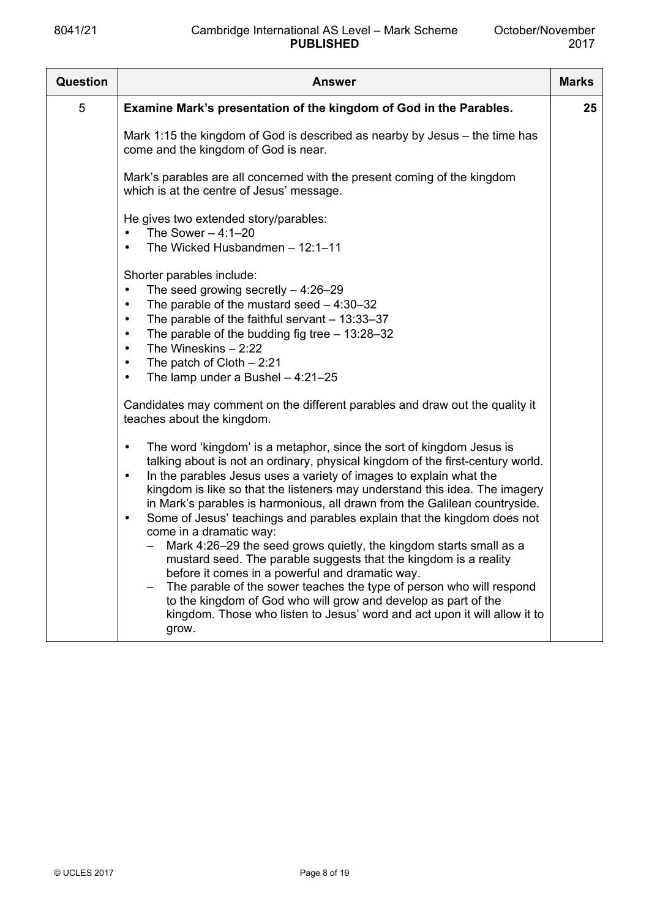| <b>Question</b> | Answer                                                                                                                                                                                                                                                                                                                                                                                                                                                                                                                                                                                                                                                                                                                                                                                                                                                                                                                                                                                                                                                                                                                                                                                                                                                                                                                                                                                                                                                                                                                                             | <b>Marks</b> |
|-----------------|----------------------------------------------------------------------------------------------------------------------------------------------------------------------------------------------------------------------------------------------------------------------------------------------------------------------------------------------------------------------------------------------------------------------------------------------------------------------------------------------------------------------------------------------------------------------------------------------------------------------------------------------------------------------------------------------------------------------------------------------------------------------------------------------------------------------------------------------------------------------------------------------------------------------------------------------------------------------------------------------------------------------------------------------------------------------------------------------------------------------------------------------------------------------------------------------------------------------------------------------------------------------------------------------------------------------------------------------------------------------------------------------------------------------------------------------------------------------------------------------------------------------------------------------------|--------------|
| 5               | Examine Mark's presentation of the kingdom of God in the Parables.                                                                                                                                                                                                                                                                                                                                                                                                                                                                                                                                                                                                                                                                                                                                                                                                                                                                                                                                                                                                                                                                                                                                                                                                                                                                                                                                                                                                                                                                                 | 25           |
|                 | Mark 1:15 the kingdom of God is described as nearby by Jesus $-$ the time has<br>come and the kingdom of God is near.                                                                                                                                                                                                                                                                                                                                                                                                                                                                                                                                                                                                                                                                                                                                                                                                                                                                                                                                                                                                                                                                                                                                                                                                                                                                                                                                                                                                                              |              |
|                 | Mark's parables are all concerned with the present coming of the kingdom<br>which is at the centre of Jesus' message.                                                                                                                                                                                                                                                                                                                                                                                                                                                                                                                                                                                                                                                                                                                                                                                                                                                                                                                                                                                                                                                                                                                                                                                                                                                                                                                                                                                                                              |              |
|                 | He gives two extended story/parables:<br>The Sower $-4:1-20$                                                                                                                                                                                                                                                                                                                                                                                                                                                                                                                                                                                                                                                                                                                                                                                                                                                                                                                                                                                                                                                                                                                                                                                                                                                                                                                                                                                                                                                                                       |              |
|                 | The Wicked Husbandmen - 12:1-11<br>$\bullet$<br>Shorter parables include:<br>The seed growing secretly $-4:26-29$<br>$\bullet$<br>The parable of the mustard seed $-4:30-32$<br>$\bullet$<br>The parable of the faithful servant $-13:33-37$<br>$\bullet$<br>The parable of the budding fig tree $-13:28-32$<br>$\bullet$<br>The Wineskins $-2:22$<br>$\bullet$<br>The patch of Cloth $-2:21$<br>$\bullet$<br>The lamp under a Bushel $-4:21-25$<br>$\bullet$<br>Candidates may comment on the different parables and draw out the quality it<br>teaches about the kingdom.<br>The word 'kingdom' is a metaphor, since the sort of kingdom Jesus is<br>$\bullet$<br>talking about is not an ordinary, physical kingdom of the first-century world.<br>In the parables Jesus uses a variety of images to explain what the<br>$\bullet$<br>kingdom is like so that the listeners may understand this idea. The imagery<br>in Mark's parables is harmonious, all drawn from the Galilean countryside.<br>Some of Jesus' teachings and parables explain that the kingdom does not<br>$\bullet$<br>come in a dramatic way:<br>Mark 4:26-29 the seed grows quietly, the kingdom starts small as a<br>mustard seed. The parable suggests that the kingdom is a reality<br>before it comes in a powerful and dramatic way.<br>The parable of the sower teaches the type of person who will respond<br>to the kingdom of God who will grow and develop as part of the<br>kingdom. Those who listen to Jesus' word and act upon it will allow it to<br>grow. |              |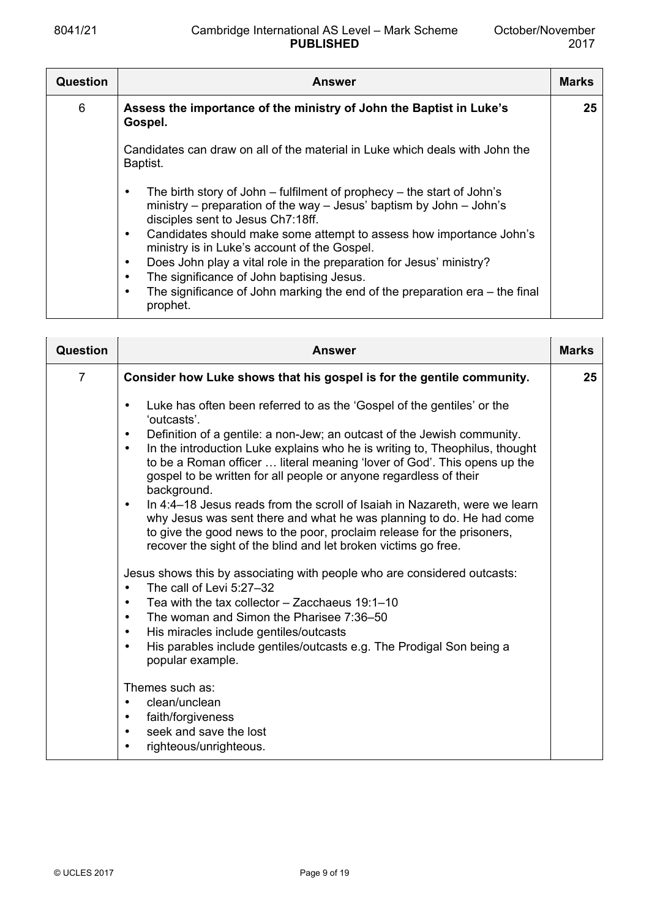| Question | Answer                                                                                                                                                                                                                                                                                                                                                                                                                                                                                                                                                     | <b>Marks</b> |
|----------|------------------------------------------------------------------------------------------------------------------------------------------------------------------------------------------------------------------------------------------------------------------------------------------------------------------------------------------------------------------------------------------------------------------------------------------------------------------------------------------------------------------------------------------------------------|--------------|
| 6        | Assess the importance of the ministry of John the Baptist in Luke's<br>Gospel.                                                                                                                                                                                                                                                                                                                                                                                                                                                                             | 25           |
|          | Candidates can draw on all of the material in Luke which deals with John the<br>Baptist.                                                                                                                                                                                                                                                                                                                                                                                                                                                                   |              |
|          | The birth story of John $-$ fulfilment of prophecy $-$ the start of John's<br>ministry - preparation of the way - Jesus' baptism by John - John's<br>disciples sent to Jesus Ch7:18ff.<br>Candidates should make some attempt to assess how importance John's<br>٠<br>ministry is in Luke's account of the Gospel.<br>Does John play a vital role in the preparation for Jesus' ministry?<br>٠<br>The significance of John baptising Jesus.<br>٠<br>The significance of John marking the end of the preparation $era$ – the final<br>$\bullet$<br>prophet. |              |

| <b>Question</b> | Answer                                                                                                                                                                                                                                                                                                                                                                                                                                                                                                                                                                                                                                                                                                                                                                                                                                                                                                                                                                                                                                                                                                                                                           | <b>Marks</b> |
|-----------------|------------------------------------------------------------------------------------------------------------------------------------------------------------------------------------------------------------------------------------------------------------------------------------------------------------------------------------------------------------------------------------------------------------------------------------------------------------------------------------------------------------------------------------------------------------------------------------------------------------------------------------------------------------------------------------------------------------------------------------------------------------------------------------------------------------------------------------------------------------------------------------------------------------------------------------------------------------------------------------------------------------------------------------------------------------------------------------------------------------------------------------------------------------------|--------------|
| $\overline{7}$  | Consider how Luke shows that his gospel is for the gentile community.                                                                                                                                                                                                                                                                                                                                                                                                                                                                                                                                                                                                                                                                                                                                                                                                                                                                                                                                                                                                                                                                                            | 25           |
|                 | Luke has often been referred to as the 'Gospel of the gentiles' or the<br>$\bullet$<br>'outcasts'.<br>Definition of a gentile: a non-Jew; an outcast of the Jewish community.<br>$\bullet$<br>In the introduction Luke explains who he is writing to, Theophilus, thought<br>$\bullet$<br>to be a Roman officer  literal meaning 'lover of God'. This opens up the<br>gospel to be written for all people or anyone regardless of their<br>background.<br>In 4:4–18 Jesus reads from the scroll of Isaiah in Nazareth, were we learn<br>$\bullet$<br>why Jesus was sent there and what he was planning to do. He had come<br>to give the good news to the poor, proclaim release for the prisoners,<br>recover the sight of the blind and let broken victims go free.<br>Jesus shows this by associating with people who are considered outcasts:<br>The call of Levi 5:27-32<br>$\bullet$<br>Tea with the tax collector $-$ Zacchaeus 19:1-10<br>$\bullet$<br>The woman and Simon the Pharisee 7:36-50<br>$\bullet$<br>His miracles include gentiles/outcasts<br>$\bullet$<br>His parables include gentiles/outcasts e.g. The Prodigal Son being a<br>$\bullet$ |              |
|                 | popular example.                                                                                                                                                                                                                                                                                                                                                                                                                                                                                                                                                                                                                                                                                                                                                                                                                                                                                                                                                                                                                                                                                                                                                 |              |
|                 | Themes such as:<br>clean/unclean<br>faith/forgiveness<br>$\bullet$<br>seek and save the lost<br>$\bullet$<br>righteous/unrighteous.<br>$\bullet$                                                                                                                                                                                                                                                                                                                                                                                                                                                                                                                                                                                                                                                                                                                                                                                                                                                                                                                                                                                                                 |              |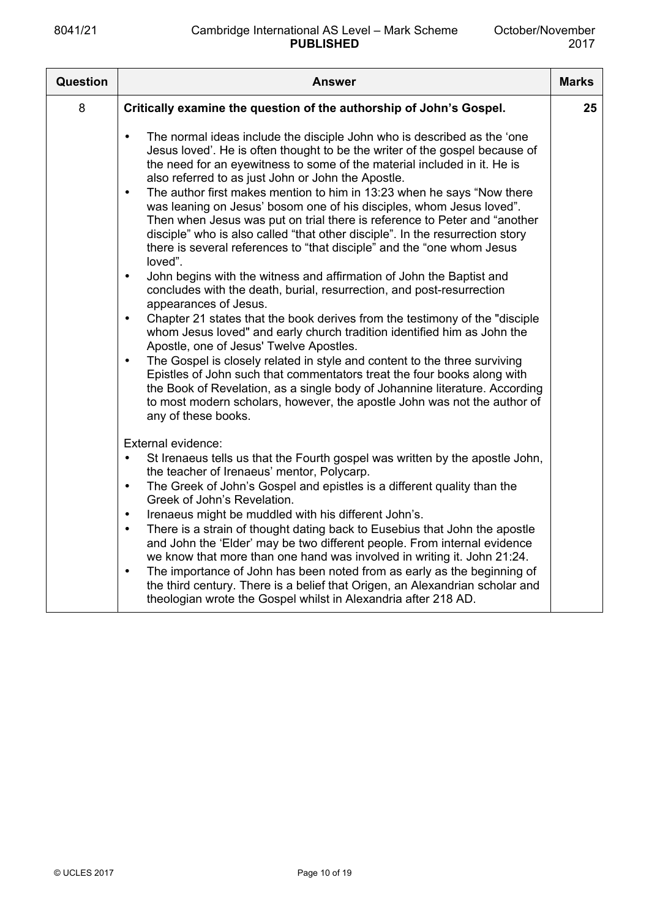| Question | <b>Answer</b>                                                                                                                                                                                                                                                                                                                                                                                                                                                                                                                                                                                                                                                                                                                                                                                                                                                                                                                                                                                                                                                                                                                                                                                                                                                                                                                                                                                                                                                                            | <b>Marks</b> |
|----------|------------------------------------------------------------------------------------------------------------------------------------------------------------------------------------------------------------------------------------------------------------------------------------------------------------------------------------------------------------------------------------------------------------------------------------------------------------------------------------------------------------------------------------------------------------------------------------------------------------------------------------------------------------------------------------------------------------------------------------------------------------------------------------------------------------------------------------------------------------------------------------------------------------------------------------------------------------------------------------------------------------------------------------------------------------------------------------------------------------------------------------------------------------------------------------------------------------------------------------------------------------------------------------------------------------------------------------------------------------------------------------------------------------------------------------------------------------------------------------------|--------------|
| 8        | Critically examine the question of the authorship of John's Gospel.                                                                                                                                                                                                                                                                                                                                                                                                                                                                                                                                                                                                                                                                                                                                                                                                                                                                                                                                                                                                                                                                                                                                                                                                                                                                                                                                                                                                                      | 25           |
|          | The normal ideas include the disciple John who is described as the 'one<br>$\bullet$<br>Jesus loved'. He is often thought to be the writer of the gospel because of<br>the need for an eyewitness to some of the material included in it. He is<br>also referred to as just John or John the Apostle.<br>The author first makes mention to him in 13:23 when he says "Now there<br>$\bullet$<br>was leaning on Jesus' bosom one of his disciples, whom Jesus loved".<br>Then when Jesus was put on trial there is reference to Peter and "another<br>disciple" who is also called "that other disciple". In the resurrection story<br>there is several references to "that disciple" and the "one whom Jesus<br>loved".<br>John begins with the witness and affirmation of John the Baptist and<br>$\bullet$<br>concludes with the death, burial, resurrection, and post-resurrection<br>appearances of Jesus.<br>Chapter 21 states that the book derives from the testimony of the "disciple"<br>$\bullet$<br>whom Jesus loved" and early church tradition identified him as John the<br>Apostle, one of Jesus' Twelve Apostles.<br>The Gospel is closely related in style and content to the three surviving<br>$\bullet$<br>Epistles of John such that commentators treat the four books along with<br>the Book of Revelation, as a single body of Johannine literature. According<br>to most modern scholars, however, the apostle John was not the author of<br>any of these books. |              |
|          | External evidence:<br>St Irenaeus tells us that the Fourth gospel was written by the apostle John,<br>$\bullet$<br>the teacher of Irenaeus' mentor, Polycarp.<br>The Greek of John's Gospel and epistles is a different quality than the<br>$\bullet$<br>Greek of John's Revelation.<br>Irenaeus might be muddled with his different John's.<br>$\bullet$<br>There is a strain of thought dating back to Eusebius that John the apostle<br>$\bullet$<br>and John the 'Elder' may be two different people. From internal evidence<br>we know that more than one hand was involved in writing it. John 21:24.<br>The importance of John has been noted from as early as the beginning of<br>$\bullet$<br>the third century. There is a belief that Origen, an Alexandrian scholar and<br>theologian wrote the Gospel whilst in Alexandria after 218 AD.                                                                                                                                                                                                                                                                                                                                                                                                                                                                                                                                                                                                                                    |              |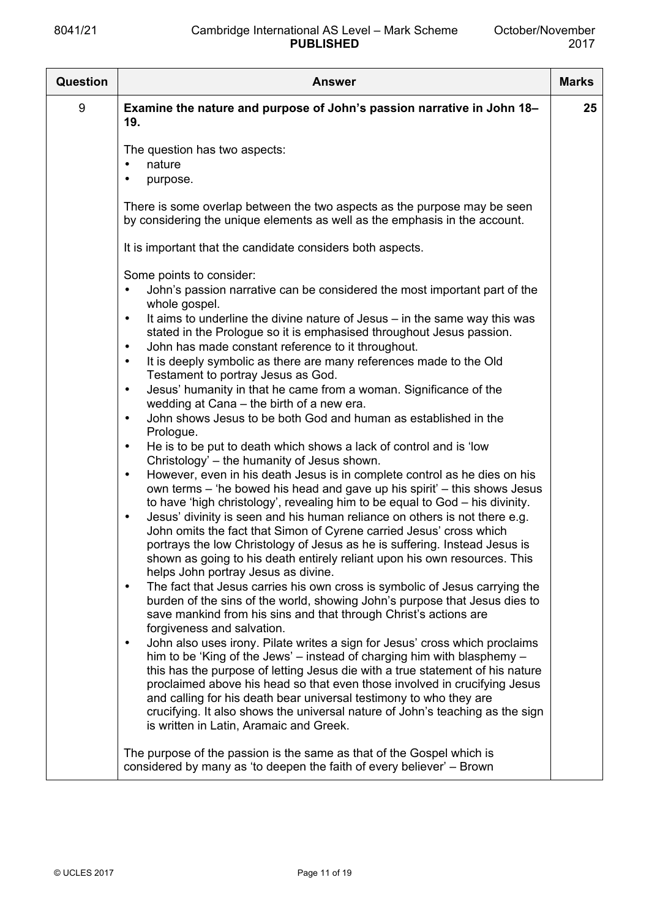| Question | <b>Answer</b>                                                                                                                                                                                                                                                                                                                                                                                                                                                                                                                       | <b>Marks</b> |
|----------|-------------------------------------------------------------------------------------------------------------------------------------------------------------------------------------------------------------------------------------------------------------------------------------------------------------------------------------------------------------------------------------------------------------------------------------------------------------------------------------------------------------------------------------|--------------|
| 9        | Examine the nature and purpose of John's passion narrative in John 18-<br>19.                                                                                                                                                                                                                                                                                                                                                                                                                                                       | 25           |
|          | The question has two aspects:<br>nature<br>purpose.                                                                                                                                                                                                                                                                                                                                                                                                                                                                                 |              |
|          | There is some overlap between the two aspects as the purpose may be seen<br>by considering the unique elements as well as the emphasis in the account.                                                                                                                                                                                                                                                                                                                                                                              |              |
|          | It is important that the candidate considers both aspects.                                                                                                                                                                                                                                                                                                                                                                                                                                                                          |              |
|          | Some points to consider:<br>John's passion narrative can be considered the most important part of the<br>whole gospel.<br>It aims to underline the divine nature of Jesus – in the same way this was<br>$\bullet$                                                                                                                                                                                                                                                                                                                   |              |
|          | stated in the Prologue so it is emphasised throughout Jesus passion.<br>John has made constant reference to it throughout.<br>It is deeply symbolic as there are many references made to the Old<br>$\bullet$<br>Testament to portray Jesus as God.                                                                                                                                                                                                                                                                                 |              |
|          | Jesus' humanity in that he came from a woman. Significance of the<br>$\bullet$<br>wedding at Cana – the birth of a new era.<br>John shows Jesus to be both God and human as established in the<br>$\bullet$<br>Prologue.                                                                                                                                                                                                                                                                                                            |              |
|          | He is to be put to death which shows a lack of control and is 'low<br>$\bullet$<br>Christology' – the humanity of Jesus shown.                                                                                                                                                                                                                                                                                                                                                                                                      |              |
|          | However, even in his death Jesus is in complete control as he dies on his<br>$\bullet$<br>own terms – 'he bowed his head and gave up his spirit' – this shows Jesus<br>to have 'high christology', revealing him to be equal to God - his divinity.<br>Jesus' divinity is seen and his human reliance on others is not there e.g.<br>$\bullet$                                                                                                                                                                                      |              |
|          | John omits the fact that Simon of Cyrene carried Jesus' cross which<br>portrays the low Christology of Jesus as he is suffering. Instead Jesus is<br>shown as going to his death entirely reliant upon his own resources. This<br>helps John portray Jesus as divine.                                                                                                                                                                                                                                                               |              |
|          | The fact that Jesus carries his own cross is symbolic of Jesus carrying the<br>$\bullet$<br>burden of the sins of the world, showing John's purpose that Jesus dies to<br>save mankind from his sins and that through Christ's actions are<br>forgiveness and salvation.                                                                                                                                                                                                                                                            |              |
|          | John also uses irony. Pilate writes a sign for Jesus' cross which proclaims<br>$\bullet$<br>him to be 'King of the Jews' – instead of charging him with blasphemy –<br>this has the purpose of letting Jesus die with a true statement of his nature<br>proclaimed above his head so that even those involved in crucifying Jesus<br>and calling for his death bear universal testimony to who they are<br>crucifying. It also shows the universal nature of John's teaching as the sign<br>is written in Latin, Aramaic and Greek. |              |
|          | The purpose of the passion is the same as that of the Gospel which is<br>considered by many as 'to deepen the faith of every believer' – Brown                                                                                                                                                                                                                                                                                                                                                                                      |              |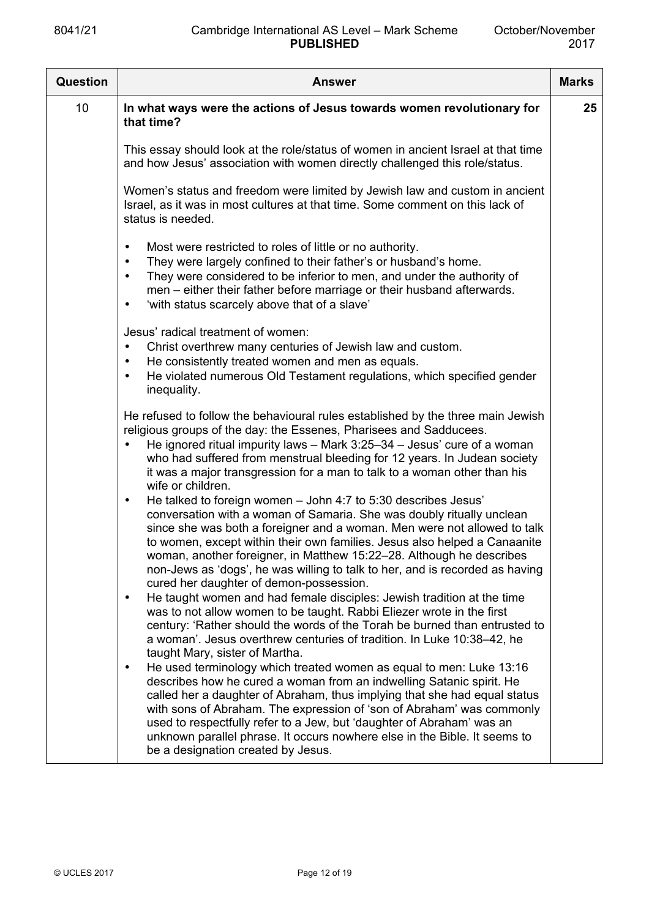| <b>Question</b> | Answer                                                                                                                                                                                                                                                                                                                                                                                                                                                                                                           | <b>Marks</b> |
|-----------------|------------------------------------------------------------------------------------------------------------------------------------------------------------------------------------------------------------------------------------------------------------------------------------------------------------------------------------------------------------------------------------------------------------------------------------------------------------------------------------------------------------------|--------------|
| 10              | In what ways were the actions of Jesus towards women revolutionary for<br>that time?                                                                                                                                                                                                                                                                                                                                                                                                                             | $25\,$       |
|                 | This essay should look at the role/status of women in ancient Israel at that time<br>and how Jesus' association with women directly challenged this role/status.                                                                                                                                                                                                                                                                                                                                                 |              |
|                 | Women's status and freedom were limited by Jewish law and custom in ancient<br>Israel, as it was in most cultures at that time. Some comment on this lack of<br>status is needed.                                                                                                                                                                                                                                                                                                                                |              |
|                 | Most were restricted to roles of little or no authority.<br>$\bullet$<br>They were largely confined to their father's or husband's home.<br>$\bullet$<br>They were considered to be inferior to men, and under the authority of<br>$\bullet$<br>men – either their father before marriage or their husband afterwards.<br>'with status scarcely above that of a slave'<br>$\bullet$                                                                                                                              |              |
|                 | Jesus' radical treatment of women:<br>Christ overthrew many centuries of Jewish law and custom.<br>$\bullet$<br>He consistently treated women and men as equals.<br>$\bullet$<br>He violated numerous Old Testament regulations, which specified gender<br>$\bullet$<br>inequality.                                                                                                                                                                                                                              |              |
|                 | He refused to follow the behavioural rules established by the three main Jewish<br>religious groups of the day: the Essenes, Pharisees and Sadducees.<br>He ignored ritual impurity laws $-$ Mark 3:25-34 $-$ Jesus' cure of a woman<br>$\bullet$<br>who had suffered from menstrual bleeding for 12 years. In Judean society<br>it was a major transgression for a man to talk to a woman other than his<br>wife or children.                                                                                   |              |
|                 | He talked to foreign women - John 4:7 to 5:30 describes Jesus'<br>$\bullet$<br>conversation with a woman of Samaria. She was doubly ritually unclean<br>since she was both a foreigner and a woman. Men were not allowed to talk<br>to women, except within their own families. Jesus also helped a Canaanite<br>woman, another foreigner, in Matthew 15:22-28. Although he describes<br>non-Jews as 'dogs', he was willing to talk to her, and is recorded as having<br>cured her daughter of demon-possession. |              |
|                 | He taught women and had female disciples: Jewish tradition at the time<br>$\bullet$<br>was to not allow women to be taught. Rabbi Eliezer wrote in the first<br>century: 'Rather should the words of the Torah be burned than entrusted to<br>a woman'. Jesus overthrew centuries of tradition. In Luke 10:38-42, he<br>taught Mary, sister of Martha.                                                                                                                                                           |              |
|                 | He used terminology which treated women as equal to men: Luke 13:16<br>$\bullet$<br>describes how he cured a woman from an indwelling Satanic spirit. He<br>called her a daughter of Abraham, thus implying that she had equal status<br>with sons of Abraham. The expression of 'son of Abraham' was commonly<br>used to respectfully refer to a Jew, but 'daughter of Abraham' was an<br>unknown parallel phrase. It occurs nowhere else in the Bible. It seems to<br>be a designation created by Jesus.       |              |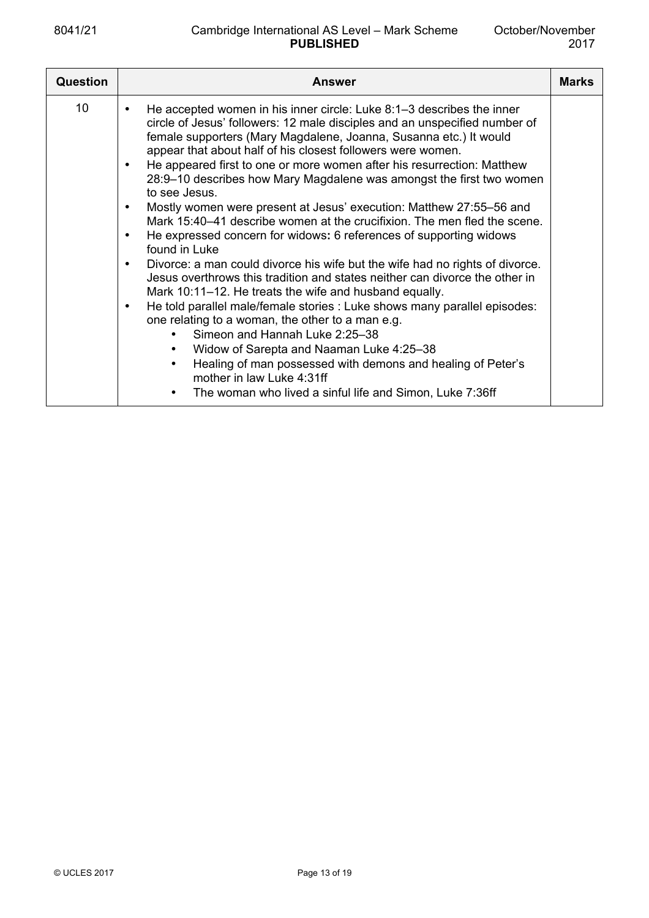| Question        | Answer                                                                                                                                                                                                                                                                                                                                                                                                                                                                                                                                                                                                                                                                                                                                                                                                                                                                                                                                                                                                                                                                                                                                                                                                                                                                                                                                                               | <b>Marks</b> |
|-----------------|----------------------------------------------------------------------------------------------------------------------------------------------------------------------------------------------------------------------------------------------------------------------------------------------------------------------------------------------------------------------------------------------------------------------------------------------------------------------------------------------------------------------------------------------------------------------------------------------------------------------------------------------------------------------------------------------------------------------------------------------------------------------------------------------------------------------------------------------------------------------------------------------------------------------------------------------------------------------------------------------------------------------------------------------------------------------------------------------------------------------------------------------------------------------------------------------------------------------------------------------------------------------------------------------------------------------------------------------------------------------|--------------|
| 10 <sup>°</sup> | He accepted women in his inner circle: Luke 8:1–3 describes the inner<br>circle of Jesus' followers: 12 male disciples and an unspecified number of<br>female supporters (Mary Magdalene, Joanna, Susanna etc.) It would<br>appear that about half of his closest followers were women.<br>He appeared first to one or more women after his resurrection: Matthew<br>28:9-10 describes how Mary Magdalene was amongst the first two women<br>to see Jesus<br>Mostly women were present at Jesus' execution: Matthew 27:55-56 and<br>Mark 15:40–41 describe women at the crucifixion. The men fled the scene.<br>He expressed concern for widows: 6 references of supporting widows<br>$\bullet$<br>found in Luke<br>Divorce: a man could divorce his wife but the wife had no rights of divorce.<br>$\bullet$<br>Jesus overthrows this tradition and states neither can divorce the other in<br>Mark 10:11–12. He treats the wife and husband equally.<br>He told parallel male/female stories : Luke shows many parallel episodes:<br>$\bullet$<br>one relating to a woman, the other to a man e.g.<br>Simeon and Hannah Luke 2:25-38<br>Widow of Sarepta and Naaman Luke 4:25-38<br>$\bullet$<br>Healing of man possessed with demons and healing of Peter's<br>$\bullet$<br>mother in law Luke 4:31ff<br>The woman who lived a sinful life and Simon, Luke 7:36ff |              |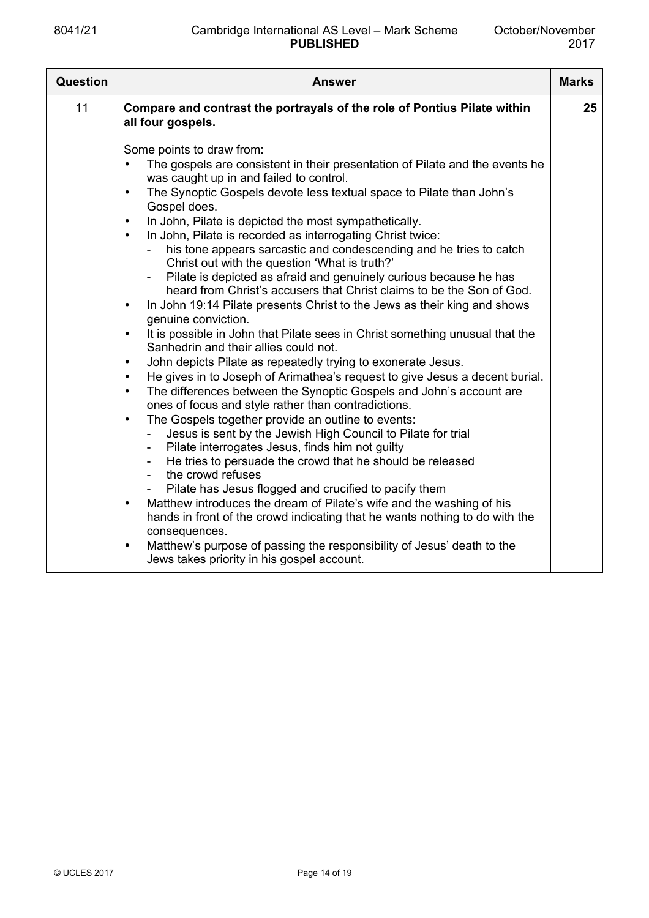| Question | <b>Answer</b>                                                                                                                                                                                                                                                                                                                                                                                                                                                                                                                                                                                                                                                                                                                                                                                                                                                                                                                                                                                                                                                                                                                                                                                                                                                                                                                                                                                                                                                                                                                                                                                                                                                                                                                                                                                                                                                                                                                                                                                                         | <b>Marks</b> |
|----------|-----------------------------------------------------------------------------------------------------------------------------------------------------------------------------------------------------------------------------------------------------------------------------------------------------------------------------------------------------------------------------------------------------------------------------------------------------------------------------------------------------------------------------------------------------------------------------------------------------------------------------------------------------------------------------------------------------------------------------------------------------------------------------------------------------------------------------------------------------------------------------------------------------------------------------------------------------------------------------------------------------------------------------------------------------------------------------------------------------------------------------------------------------------------------------------------------------------------------------------------------------------------------------------------------------------------------------------------------------------------------------------------------------------------------------------------------------------------------------------------------------------------------------------------------------------------------------------------------------------------------------------------------------------------------------------------------------------------------------------------------------------------------------------------------------------------------------------------------------------------------------------------------------------------------------------------------------------------------------------------------------------------------|--------------|
| 11       | Compare and contrast the portrayals of the role of Pontius Pilate within<br>all four gospels.                                                                                                                                                                                                                                                                                                                                                                                                                                                                                                                                                                                                                                                                                                                                                                                                                                                                                                                                                                                                                                                                                                                                                                                                                                                                                                                                                                                                                                                                                                                                                                                                                                                                                                                                                                                                                                                                                                                         | 25           |
|          | Some points to draw from:<br>The gospels are consistent in their presentation of Pilate and the events he<br>$\bullet$<br>was caught up in and failed to control.<br>The Synoptic Gospels devote less textual space to Pilate than John's<br>$\bullet$<br>Gospel does.<br>In John, Pilate is depicted the most sympathetically.<br>$\bullet$<br>In John, Pilate is recorded as interrogating Christ twice:<br>$\bullet$<br>his tone appears sarcastic and condescending and he tries to catch<br>Christ out with the question 'What is truth?'<br>Pilate is depicted as afraid and genuinely curious because he has<br>heard from Christ's accusers that Christ claims to be the Son of God.<br>In John 19:14 Pilate presents Christ to the Jews as their king and shows<br>$\bullet$<br>genuine conviction.<br>It is possible in John that Pilate sees in Christ something unusual that the<br>$\bullet$<br>Sanhedrin and their allies could not.<br>John depicts Pilate as repeatedly trying to exonerate Jesus.<br>$\bullet$<br>He gives in to Joseph of Arimathea's request to give Jesus a decent burial.<br>$\bullet$<br>The differences between the Synoptic Gospels and John's account are<br>$\bullet$<br>ones of focus and style rather than contradictions.<br>The Gospels together provide an outline to events:<br>$\bullet$<br>Jesus is sent by the Jewish High Council to Pilate for trial<br>Pilate interrogates Jesus, finds him not guilty<br>$\overline{\phantom{a}}$<br>He tries to persuade the crowd that he should be released<br>$\overline{\phantom{a}}$<br>the crowd refuses<br>$\overline{\phantom{a}}$<br>Pilate has Jesus flogged and crucified to pacify them<br>Matthew introduces the dream of Pilate's wife and the washing of his<br>$\bullet$<br>hands in front of the crowd indicating that he wants nothing to do with the<br>consequences.<br>Matthew's purpose of passing the responsibility of Jesus' death to the<br>$\bullet$<br>Jews takes priority in his gospel account. |              |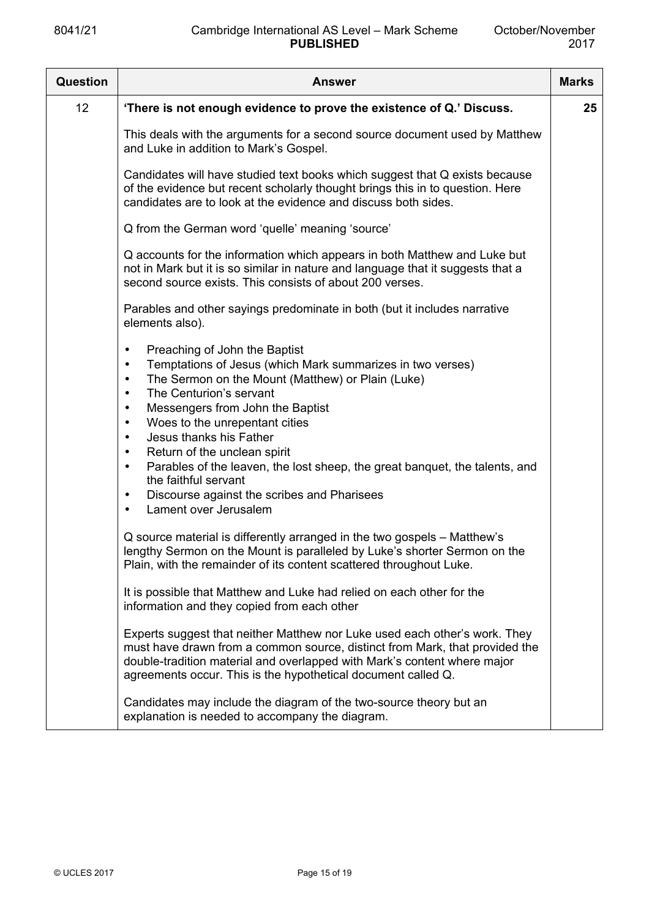| Question | <b>Answer</b>                                                                                                                                                                                                                                                                                                                                                                                                                                                                                                                                                                                                    | <b>Marks</b> |
|----------|------------------------------------------------------------------------------------------------------------------------------------------------------------------------------------------------------------------------------------------------------------------------------------------------------------------------------------------------------------------------------------------------------------------------------------------------------------------------------------------------------------------------------------------------------------------------------------------------------------------|--------------|
| 12       | 'There is not enough evidence to prove the existence of Q.' Discuss.                                                                                                                                                                                                                                                                                                                                                                                                                                                                                                                                             | 25           |
|          | This deals with the arguments for a second source document used by Matthew<br>and Luke in addition to Mark's Gospel.                                                                                                                                                                                                                                                                                                                                                                                                                                                                                             |              |
|          | Candidates will have studied text books which suggest that Q exists because<br>of the evidence but recent scholarly thought brings this in to question. Here<br>candidates are to look at the evidence and discuss both sides.                                                                                                                                                                                                                                                                                                                                                                                   |              |
|          | Q from the German word 'quelle' meaning 'source'                                                                                                                                                                                                                                                                                                                                                                                                                                                                                                                                                                 |              |
|          | Q accounts for the information which appears in both Matthew and Luke but<br>not in Mark but it is so similar in nature and language that it suggests that a<br>second source exists. This consists of about 200 verses.                                                                                                                                                                                                                                                                                                                                                                                         |              |
|          | Parables and other sayings predominate in both (but it includes narrative<br>elements also).                                                                                                                                                                                                                                                                                                                                                                                                                                                                                                                     |              |
|          | Preaching of John the Baptist<br>$\bullet$<br>Temptations of Jesus (which Mark summarizes in two verses)<br>$\bullet$<br>The Sermon on the Mount (Matthew) or Plain (Luke)<br>$\bullet$<br>The Centurion's servant<br>$\bullet$<br>Messengers from John the Baptist<br>$\bullet$<br>Woes to the unrepentant cities<br>$\bullet$<br>Jesus thanks his Father<br>$\bullet$<br>Return of the unclean spirit<br>Parables of the leaven, the lost sheep, the great banquet, the talents, and<br>the faithful servant<br>Discourse against the scribes and Pharisees<br>$\bullet$<br>Lament over Jerusalem<br>$\bullet$ |              |
|          | Q source material is differently arranged in the two gospels – Matthew's<br>lengthy Sermon on the Mount is paralleled by Luke's shorter Sermon on the<br>Plain, with the remainder of its content scattered throughout Luke.                                                                                                                                                                                                                                                                                                                                                                                     |              |
|          | It is possible that Matthew and Luke had relied on each other for the<br>information and they copied from each other                                                                                                                                                                                                                                                                                                                                                                                                                                                                                             |              |
|          | Experts suggest that neither Matthew nor Luke used each other's work. They<br>must have drawn from a common source, distinct from Mark, that provided the<br>double-tradition material and overlapped with Mark's content where major<br>agreements occur. This is the hypothetical document called Q.                                                                                                                                                                                                                                                                                                           |              |
|          | Candidates may include the diagram of the two-source theory but an<br>explanation is needed to accompany the diagram.                                                                                                                                                                                                                                                                                                                                                                                                                                                                                            |              |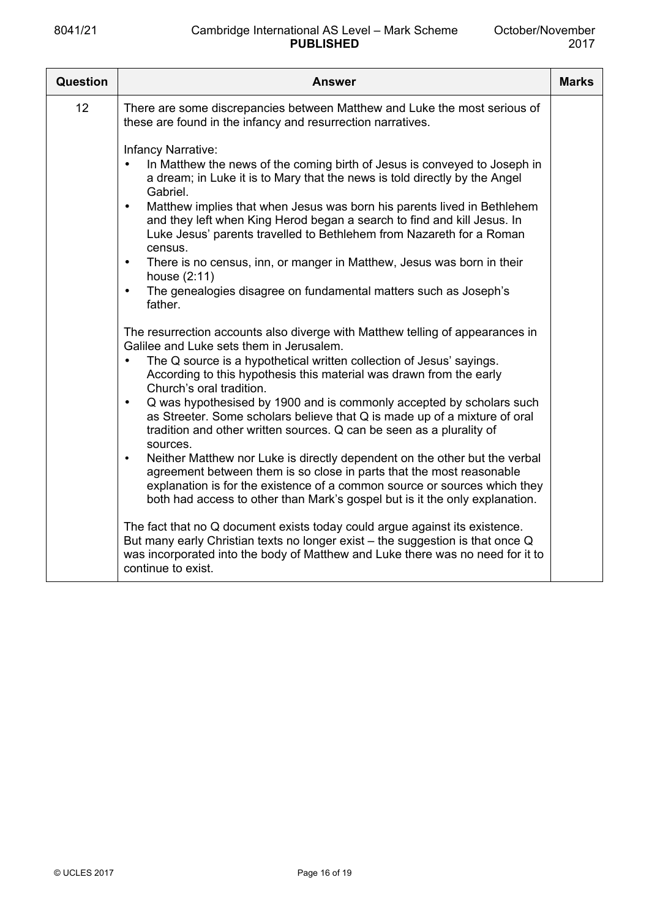| <b>Question</b> | <b>Answer</b>                                                                                                                                                                                                                                                                                                                                                                                                                                                                                                                                                                                                                                                                                                                                                                                                                                                                                                                                                                                                                                                                                                                                                                                                                 | <b>Marks</b> |
|-----------------|-------------------------------------------------------------------------------------------------------------------------------------------------------------------------------------------------------------------------------------------------------------------------------------------------------------------------------------------------------------------------------------------------------------------------------------------------------------------------------------------------------------------------------------------------------------------------------------------------------------------------------------------------------------------------------------------------------------------------------------------------------------------------------------------------------------------------------------------------------------------------------------------------------------------------------------------------------------------------------------------------------------------------------------------------------------------------------------------------------------------------------------------------------------------------------------------------------------------------------|--------------|
| 12              | There are some discrepancies between Matthew and Luke the most serious of<br>these are found in the infancy and resurrection narratives.                                                                                                                                                                                                                                                                                                                                                                                                                                                                                                                                                                                                                                                                                                                                                                                                                                                                                                                                                                                                                                                                                      |              |
|                 | Infancy Narrative:<br>In Matthew the news of the coming birth of Jesus is conveyed to Joseph in<br>a dream; in Luke it is to Mary that the news is told directly by the Angel<br>Gabriel.<br>Matthew implies that when Jesus was born his parents lived in Bethlehem<br>$\bullet$<br>and they left when King Herod began a search to find and kill Jesus. In<br>Luke Jesus' parents travelled to Bethlehem from Nazareth for a Roman<br>census.<br>There is no census, inn, or manger in Matthew, Jesus was born in their<br>$\bullet$<br>house (2:11)<br>The genealogies disagree on fundamental matters such as Joseph's<br>$\bullet$<br>father.<br>The resurrection accounts also diverge with Matthew telling of appearances in<br>Galilee and Luke sets them in Jerusalem.<br>The Q source is a hypothetical written collection of Jesus' sayings.<br>$\bullet$<br>According to this hypothesis this material was drawn from the early<br>Church's oral tradition.<br>Q was hypothesised by 1900 and is commonly accepted by scholars such<br>$\bullet$<br>as Streeter. Some scholars believe that Q is made up of a mixture of oral<br>tradition and other written sources. Q can be seen as a plurality of<br>sources. |              |
|                 | Neither Matthew nor Luke is directly dependent on the other but the verbal<br>$\bullet$<br>agreement between them is so close in parts that the most reasonable<br>explanation is for the existence of a common source or sources which they<br>both had access to other than Mark's gospel but is it the only explanation.                                                                                                                                                                                                                                                                                                                                                                                                                                                                                                                                                                                                                                                                                                                                                                                                                                                                                                   |              |
|                 | The fact that no Q document exists today could argue against its existence.<br>But many early Christian texts no longer exist - the suggestion is that once Q<br>was incorporated into the body of Matthew and Luke there was no need for it to<br>continue to exist.                                                                                                                                                                                                                                                                                                                                                                                                                                                                                                                                                                                                                                                                                                                                                                                                                                                                                                                                                         |              |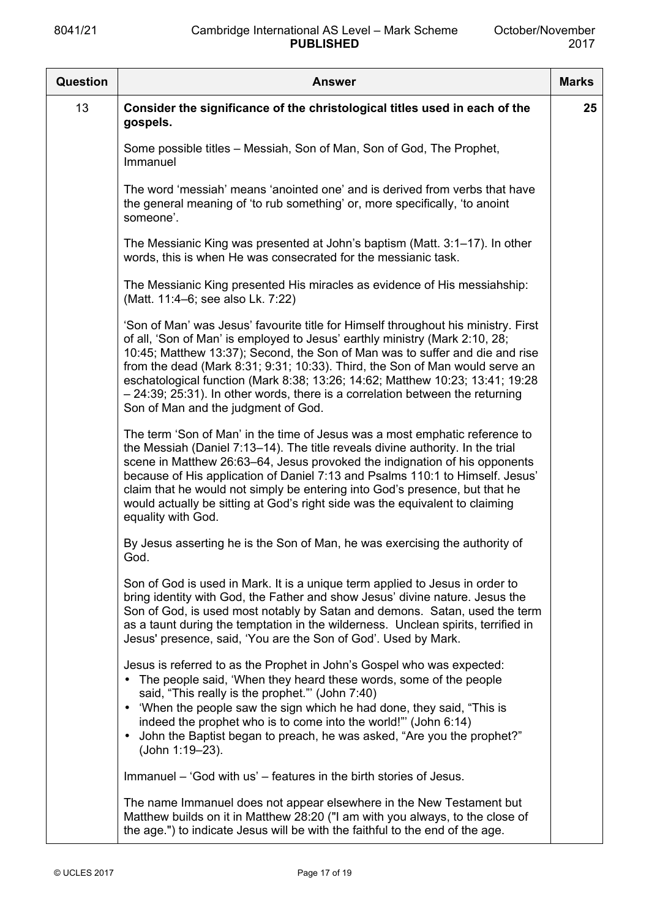| Question | <b>Answer</b>                                                                                                                                                                                                                                                                                                                                                                                                                                                                                                                                | <b>Marks</b> |
|----------|----------------------------------------------------------------------------------------------------------------------------------------------------------------------------------------------------------------------------------------------------------------------------------------------------------------------------------------------------------------------------------------------------------------------------------------------------------------------------------------------------------------------------------------------|--------------|
| 13       | Consider the significance of the christological titles used in each of the<br>gospels.                                                                                                                                                                                                                                                                                                                                                                                                                                                       | 25           |
|          | Some possible titles – Messiah, Son of Man, Son of God, The Prophet,<br>Immanuel                                                                                                                                                                                                                                                                                                                                                                                                                                                             |              |
|          | The word 'messiah' means 'anointed one' and is derived from verbs that have<br>the general meaning of 'to rub something' or, more specifically, 'to anoint<br>someone'.                                                                                                                                                                                                                                                                                                                                                                      |              |
|          | The Messianic King was presented at John's baptism (Matt. 3:1–17). In other<br>words, this is when He was consecrated for the messianic task.                                                                                                                                                                                                                                                                                                                                                                                                |              |
|          | The Messianic King presented His miracles as evidence of His messiahship:<br>(Matt. 11:4–6; see also Lk. 7:22)                                                                                                                                                                                                                                                                                                                                                                                                                               |              |
|          | 'Son of Man' was Jesus' favourite title for Himself throughout his ministry. First<br>of all, 'Son of Man' is employed to Jesus' earthly ministry (Mark 2:10, 28;<br>10:45; Matthew 13:37); Second, the Son of Man was to suffer and die and rise<br>from the dead (Mark 8:31; 9:31; 10:33). Third, the Son of Man would serve an<br>eschatological function (Mark 8:38; 13:26; 14:62; Matthew 10:23; 13:41; 19:28<br>$-24:39$ ; 25:31). In other words, there is a correlation between the returning<br>Son of Man and the judgment of God. |              |
|          | The term 'Son of Man' in the time of Jesus was a most emphatic reference to<br>the Messiah (Daniel 7:13-14). The title reveals divine authority. In the trial<br>scene in Matthew 26:63–64, Jesus provoked the indignation of his opponents<br>because of His application of Daniel 7:13 and Psalms 110:1 to Himself. Jesus'<br>claim that he would not simply be entering into God's presence, but that he<br>would actually be sitting at God's right side was the equivalent to claiming<br>equality with God.                            |              |
|          | By Jesus asserting he is the Son of Man, he was exercising the authority of<br>God.                                                                                                                                                                                                                                                                                                                                                                                                                                                          |              |
|          | Son of God is used in Mark. It is a unique term applied to Jesus in order to<br>bring identity with God, the Father and show Jesus' divine nature. Jesus the<br>Son of God, is used most notably by Satan and demons. Satan, used the term<br>as a taunt during the temptation in the wilderness. Unclean spirits, terrified in<br>Jesus' presence, said, 'You are the Son of God'. Used by Mark.                                                                                                                                            |              |
|          | Jesus is referred to as the Prophet in John's Gospel who was expected:<br>• The people said, 'When they heard these words, some of the people<br>said, "This really is the prophet." (John 7:40)<br>• 'When the people saw the sign which he had done, they said, "This is<br>indeed the prophet who is to come into the world!" (John 6:14)<br>John the Baptist began to preach, he was asked, "Are you the prophet?"<br>$\bullet$<br>(John 1:19-23).                                                                                       |              |
|          | Immanuel – 'God with us' – features in the birth stories of Jesus.                                                                                                                                                                                                                                                                                                                                                                                                                                                                           |              |
|          | The name Immanuel does not appear elsewhere in the New Testament but<br>Matthew builds on it in Matthew 28:20 ("I am with you always, to the close of<br>the age.") to indicate Jesus will be with the faithful to the end of the age.                                                                                                                                                                                                                                                                                                       |              |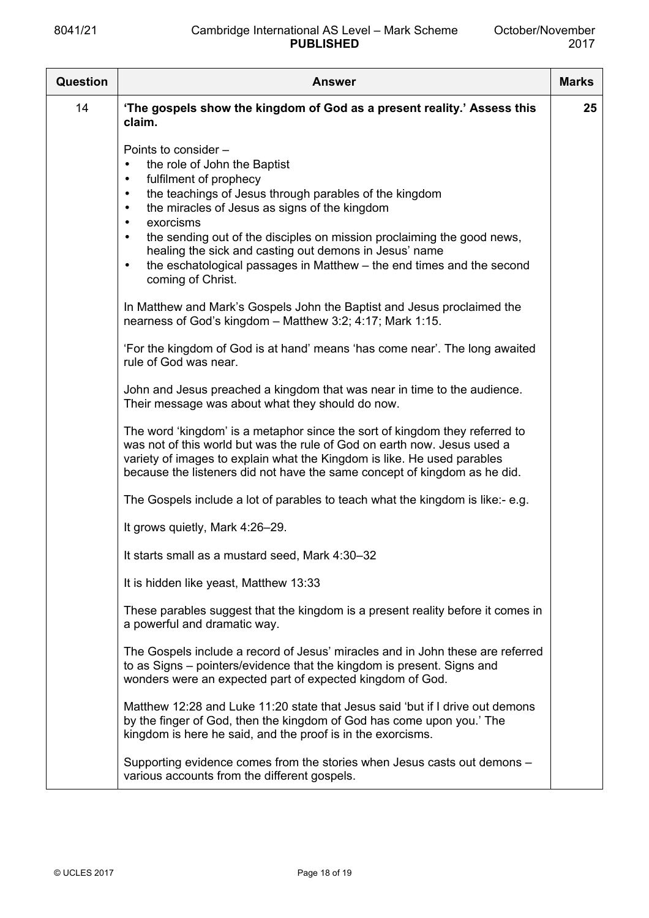| Question | <b>Answer</b>                                                                                                                                                                                                                                                                                                                                                                                                                                                                                                          | <b>Marks</b> |
|----------|------------------------------------------------------------------------------------------------------------------------------------------------------------------------------------------------------------------------------------------------------------------------------------------------------------------------------------------------------------------------------------------------------------------------------------------------------------------------------------------------------------------------|--------------|
| 14       | 'The gospels show the kingdom of God as a present reality.' Assess this<br>claim.                                                                                                                                                                                                                                                                                                                                                                                                                                      | 25           |
|          | Points to consider -<br>the role of John the Baptist<br>fulfilment of prophecy<br>$\bullet$<br>the teachings of Jesus through parables of the kingdom<br>$\bullet$<br>the miracles of Jesus as signs of the kingdom<br>$\bullet$<br>exorcisms<br>$\bullet$<br>the sending out of the disciples on mission proclaiming the good news,<br>$\bullet$<br>healing the sick and casting out demons in Jesus' name<br>the eschatological passages in Matthew - the end times and the second<br>$\bullet$<br>coming of Christ. |              |
|          | In Matthew and Mark's Gospels John the Baptist and Jesus proclaimed the<br>nearness of God's kingdom - Matthew 3:2; 4:17; Mark 1:15.                                                                                                                                                                                                                                                                                                                                                                                   |              |
|          | 'For the kingdom of God is at hand' means 'has come near'. The long awaited<br>rule of God was near.                                                                                                                                                                                                                                                                                                                                                                                                                   |              |
|          | John and Jesus preached a kingdom that was near in time to the audience.<br>Their message was about what they should do now.                                                                                                                                                                                                                                                                                                                                                                                           |              |
|          | The word 'kingdom' is a metaphor since the sort of kingdom they referred to<br>was not of this world but was the rule of God on earth now. Jesus used a<br>variety of images to explain what the Kingdom is like. He used parables<br>because the listeners did not have the same concept of kingdom as he did.                                                                                                                                                                                                        |              |
|          | The Gospels include a lot of parables to teach what the kingdom is like:- e.g.                                                                                                                                                                                                                                                                                                                                                                                                                                         |              |
|          | It grows quietly, Mark 4:26-29.                                                                                                                                                                                                                                                                                                                                                                                                                                                                                        |              |
|          | It starts small as a mustard seed, Mark 4:30-32                                                                                                                                                                                                                                                                                                                                                                                                                                                                        |              |
|          | It is hidden like yeast, Matthew 13:33                                                                                                                                                                                                                                                                                                                                                                                                                                                                                 |              |
|          | These parables suggest that the kingdom is a present reality before it comes in<br>a powerful and dramatic way.                                                                                                                                                                                                                                                                                                                                                                                                        |              |
|          | The Gospels include a record of Jesus' miracles and in John these are referred<br>to as Signs – pointers/evidence that the kingdom is present. Signs and<br>wonders were an expected part of expected kingdom of God.                                                                                                                                                                                                                                                                                                  |              |
|          | Matthew 12:28 and Luke 11:20 state that Jesus said 'but if I drive out demons<br>by the finger of God, then the kingdom of God has come upon you.' The<br>kingdom is here he said, and the proof is in the exorcisms.                                                                                                                                                                                                                                                                                                  |              |
|          | Supporting evidence comes from the stories when Jesus casts out demons -<br>various accounts from the different gospels.                                                                                                                                                                                                                                                                                                                                                                                               |              |